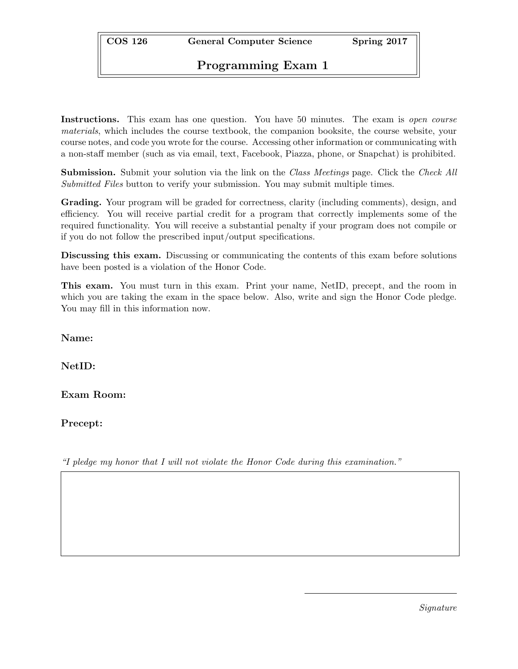COS 126 General Computer Science Spring 2017

## Programming Exam 1

Instructions. This exam has one question. You have 50 minutes. The exam is *open course* materials, which includes the course textbook, the companion booksite, the course website, your course notes, and code you wrote for the course. Accessing other information or communicating with a non-staff member (such as via email, text, Facebook, Piazza, phone, or Snapchat) is prohibited.

**Submission.** Submit your solution via the link on the *Class Meetings* page. Click the *Check All* Submitted Files button to verify your submission. You may submit multiple times.

Grading. Your program will be graded for correctness, clarity (including comments), design, and efficiency. You will receive partial credit for a program that correctly implements some of the required functionality. You will receive a substantial penalty if your program does not compile or if you do not follow the prescribed input/output specifications.

Discussing this exam. Discussing or communicating the contents of this exam before solutions have been posted is a violation of the Honor Code.

This exam. You must turn in this exam. Print your name, NetID, precept, and the room in which you are taking the exam in the space below. Also, write and sign the Honor Code pledge. You may fill in this information now.

Name:

NetID:

Exam Room:

Precept:

"I pledge my honor that I will not violate the Honor Code during this examination."

Signature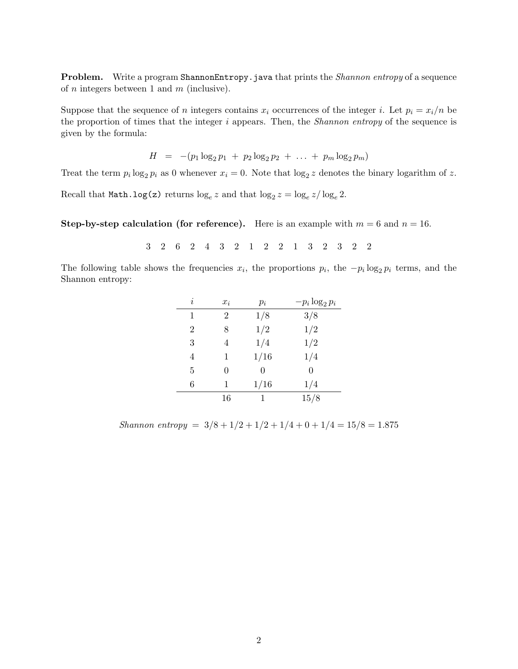**Problem.** Write a program ShannonEntropy.java that prints the *Shannon entropy* of a sequence of  $n$  integers between 1 and  $m$  (inclusive).

Suppose that the sequence of n integers contains  $x_i$  occurrences of the integer i. Let  $p_i = x_i/n$  be the proportion of times that the integer  $i$  appears. Then, the *Shannon entropy* of the sequence is given by the formula:

$$
H = -(p_1 \log_2 p_1 + p_2 \log_2 p_2 + \ldots + p_m \log_2 p_m)
$$

Treat the term  $p_i \log_2 p_i$  as 0 whenever  $x_i = 0$ . Note that  $\log_2 z$  denotes the binary logarithm of z.

Recall that  $\texttt{Math.log(z)}$  returns  $\log_e z$  and that  $\log_2 z = \log_e z / \log_e 2$ .

Step-by-step calculation (for reference). Here is an example with  $m = 6$  and  $n = 16$ .

3 2 6 2 4 3 2 1 2 2 1 3 2 3 2 2

The following table shows the frequencies  $x_i$ , the proportions  $p_i$ , the  $-p_i \log_2 p_i$  terms, and the Shannon entropy:

| i              | $x_i$          | $p_i$ | $-p_i \log_2 p_i$ |
|----------------|----------------|-------|-------------------|
| 1              | $\overline{2}$ | 1/8   | 3/8               |
| $\overline{2}$ | 8              | 1/2   | 1/2               |
| 3              |                | 1/4   | 1/2               |
| 4              | 1              | 1/16  | 1/4               |
| 5              | 0              | 0     | 0                 |
| 6              | 1              | 1/16  | 1/4               |
|                | 16             |       | 15/8              |

Shannon entropy =  $3/8 + 1/2 + 1/2 + 1/4 + 0 + 1/4 = 15/8 = 1.875$